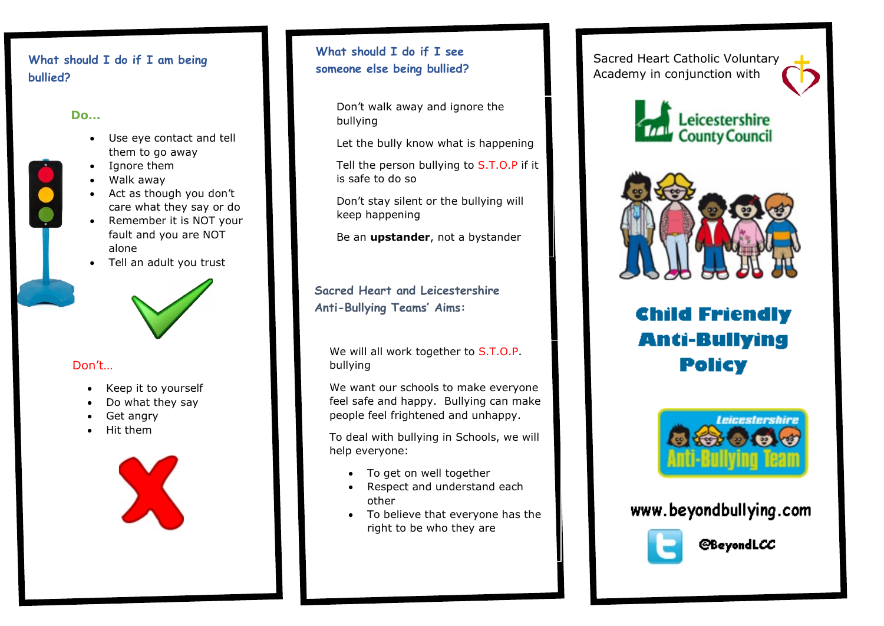# What should I do if I am being **what should I do if I see**<br>someone else being bullied? **bullied?**

### **Do…**

- Use eye contact and tell them to go away
- Ignore them
- Walk away
- Act as though you don't care what they say or do
- Remember it is NOT your fault and you are NOT alone
- Tell an adult you trust



# Don't…

- Keep it to yourself
- Do what they say
- Get angry
- Hit them



# **What should I do if I see**

Don't walk away and ignore the bullying

Let the bully know what is happening

Tell the person bullying to S.T.O.P if it is safe to do so

Don't stay silent or the bullying will keep happening

Be an **upstander**, not a bystander

**Sacred Heart and Leicestershire Anti-Bullying Teams' Aims:**

We will all work together to S.T.O.P. bullying

We want our schools to make everyone feel safe and happy. Bullying can make people feel frightened and unhappy.

To deal with bullying in Schools, we will help everyone:

- To get on well together
- Respect and understand each other
- To believe that everyone has the right to be who they are

Sacred Heart Catholic Voluntary Academy in conjunction with





# **Child Friendly Anti-Bullying Policy**



www.beyondbullying.com



**@BeyondLCC**